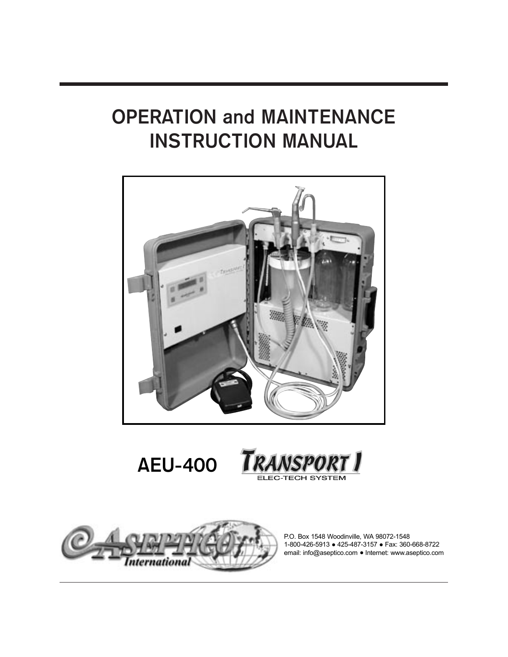# OPERATION and MAINTENANCE INSTRUCTION MANUAL









P.O. Box 1548 Woodinville, WA 98072-1548 1-800-426-5913 ● 425-487-3157 ● Fax: 360-668-8722 email: info@aseptico.com • Internet: www.aseptico.com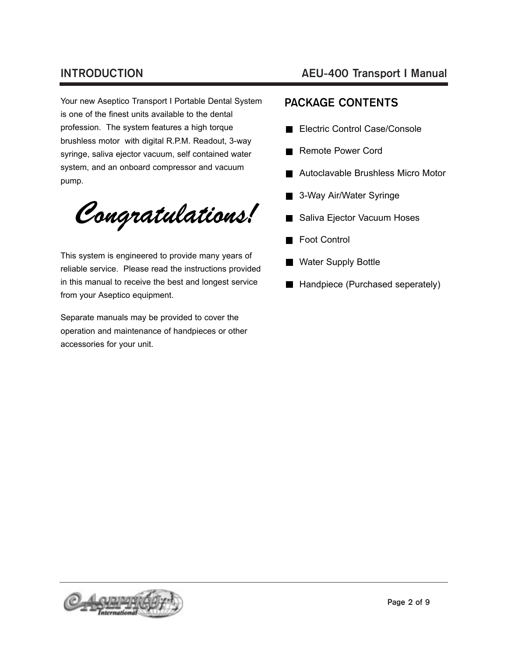Your new Aseptico Transport I Portable Dental System is one of the finest units available to the dental profession. The system features a high torque brushless motor with digital R.P.M. Readout, 3-way syringe, saliva ejector vacuum, self contained water system, and an onboard compressor and vacuum pump.

Congratulations!

This system is engineered to provide many years of reliable service. Please read the instructions provided in this manual to receive the best and longest service from your Aseptico equipment.

Separate manuals may be provided to cover the operation and maintenance of handpieces or other accessories for your unit.

## INTRODUCTION AEU-400 Transport I Manual

# PACKAGE CONTENTS

- Electric Control Case/Console
- Remote Power Cord
- Autoclavable Brushless Micro Motor
- **3-Way Air/Water Syringe**
- Saliva Ejector Vacuum Hoses  $\blacksquare$
- Foot Control
- Water Supply Bottle
- Handpiece (Purchased seperately)

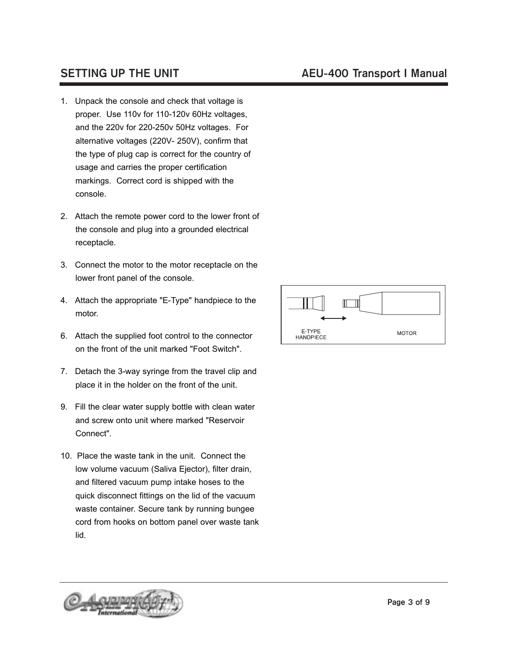- 1. Unpack the console and check that voltage is proper. Use 110v for 110-120v 60Hz voltages, and the 220v for 220-250v 50Hz voltages. For alternative voltages (220V- 250V), confirm that the type of plug cap is correct for the country of usage and carries the proper certification markings. Correct cord is shipped with the console.
- 2. Attach the remote power cord to the lower front of the console and plug into a grounded electrical receptacle.
- 3. Connect the motor to the motor receptacle on the lower front panel of the console.
- 4. Attach the appropriate "E-Type" handpiece to the motor.
- 6. Attach the supplied foot control to the connector on the front of the unit marked "Foot Switch".
- 7. Detach the 3-way syringe from the travel clip and place it in the holder on the front of the unit.
- 9. Fill the clear water supply bottle with clean water and screw onto unit where marked "Reservoir Connect".
- 10. Place the waste tank in the unit. Connect the low volume vacuum (Saliva Ejector), filter drain, and filtered vacuum pump intake hoses to the quick disconnect fittings on the lid of the vacuum waste container. Secure tank by running bungee cord from hooks on bottom panel over waste tank lid.



# SETTING UP THE UNIT SETTING AEU-400 Transport I Manual

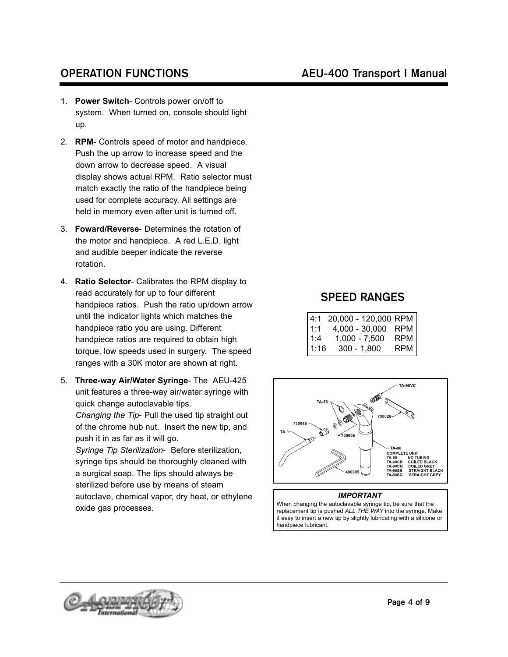- 1. **Power Switch** Controls power on/off to system. When turned on, console should light up.
- 2. **RPM** Controls speed of motor and handpiece. Push the up arrow to increase speed and the down arrow to decrease speed. A visual display shows actual RPM. Ratio selector must match exactly the ratio of the handpiece being used for complete accuracy. All settings are held in memory even after unit is turned off.
- 3. **Foward/Reverse** Determines the rotation of the motor and handpiece. A red L.E.D. light and audible beeper indicate the reverse rotation.
- 4. **Ratio Selector** Calibrates the RPM display to read accurately for up to four different handpiece ratios. Push the ratio up/down arrow until the indicator lights which matches the handpiece ratio you are using. Different handpiece ratios are required to obtain high torque, low speeds used in surgery. The speed ranges with a 30K motor are shown at right.
- 5. **Three-way Air/Water Syringe** The AEU-425 unit features a three-way air/water syringe with quick change autoclavable tips.

*Changing the Tip*- Pull the used tip straight out of the chrome hub nut. Insert the new tip, and push it in as far as it will go.

*Syringe Tip Sterilization*- Before sterilization, syringe tips should be thoroughly cleaned with a surgical soap. The tips should always be sterilized before use by means of steam autoclave, chemical vapor, dry heat, or ethylene oxide gas processes.

# OPERATION FUNCTIONS AEU-400 Transport I Manual

## SPEED RANGES

| l 4:1 | 20,000 - 120,000 RPM |     |
|-------|----------------------|-----|
| l 1:1 | $4,000 - 30,000$     | RPM |
| 1:4   | 1,000 - 7,500        | RPM |
| 1:16  | $300 - 1,800$        | RPM |



## *IMPORTANT*

When changing the autoclavable syringe tip, be sure that the replacement tip is pushed *ALL THE WAY* into the syringe. Make it easy to insert a new tip by slightly lubricating with a silicone or handpiece lubricant.

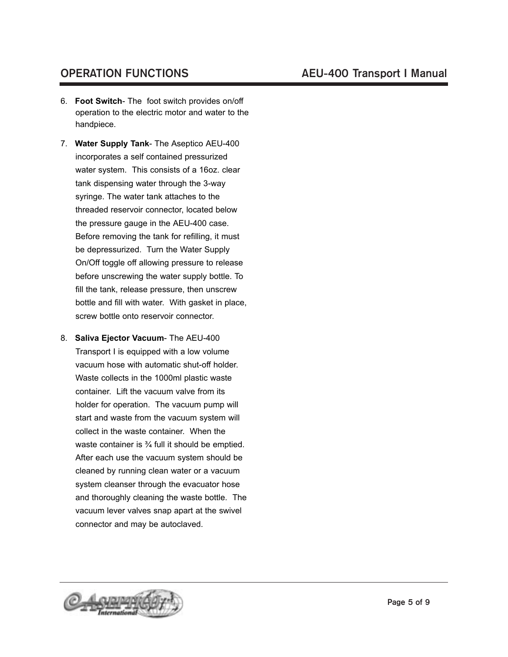- 6. **Foot Switch** The foot switch provides on/off operation to the electric motor and water to the handpiece.
- 7. **Water Supply Tank** The Aseptico AEU-400 incorporates a self contained pressurized water system. This consists of a 16oz. clear tank dispensing water through the 3-way syringe. The water tank attaches to the threaded reservoir connector, located below the pressure gauge in the AEU-400 case. Before removing the tank for refilling, it must be depressurized. Turn the Water Supply On/Off toggle off allowing pressure to release before unscrewing the water supply bottle. To fill the tank, release pressure, then unscrew bottle and fill with water. With gasket in place, screw bottle onto reservoir connector.
- 8. **Saliva Ejector Vacuum** The AEU-400 Transport I is equipped with a low volume vacuum hose with automatic shut-off holder. Waste collects in the 1000ml plastic waste container. Lift the vacuum valve from its holder for operation. The vacuum pump will start and waste from the vacuum system will collect in the waste container. When the waste container is ¾ full it should be emptied. After each use the vacuum system should be cleaned by running clean water or a vacuum system cleanser through the evacuator hose and thoroughly cleaning the waste bottle. The vacuum lever valves snap apart at the swivel connector and may be autoclaved.

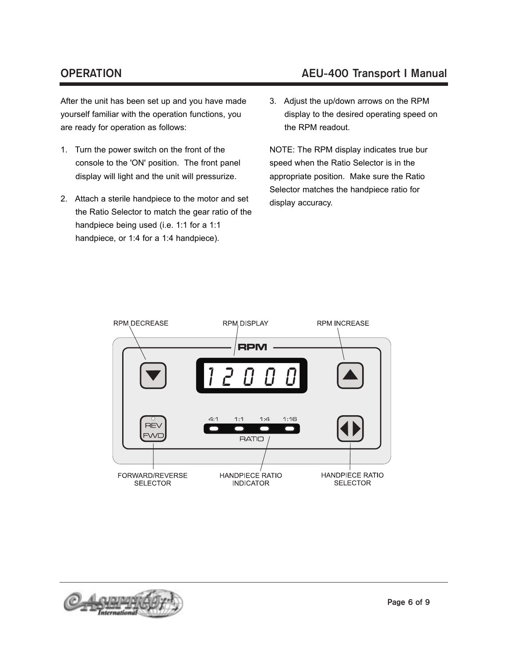After the unit has been set up and you have made yourself familiar with the operation functions, you are ready for operation as follows:

- 1. Turn the power switch on the front of the console to the 'ON' position. The front panel display will light and the unit will pressurize.
- 2. Attach a sterile handpiece to the motor and set the Ratio Selector to match the gear ratio of the handpiece being used (i.e. 1:1 for a 1:1 handpiece, or 1:4 for a 1:4 handpiece).

# OPERATION AEU-400 Transport I Manual

3. Adjust the up/down arrows on the RPM display to the desired operating speed on the RPM readout.

NOTE: The RPM display indicates true bur speed when the Ratio Selector is in the appropriate position. Make sure the Ratio Selector matches the handpiece ratio for display accuracy.



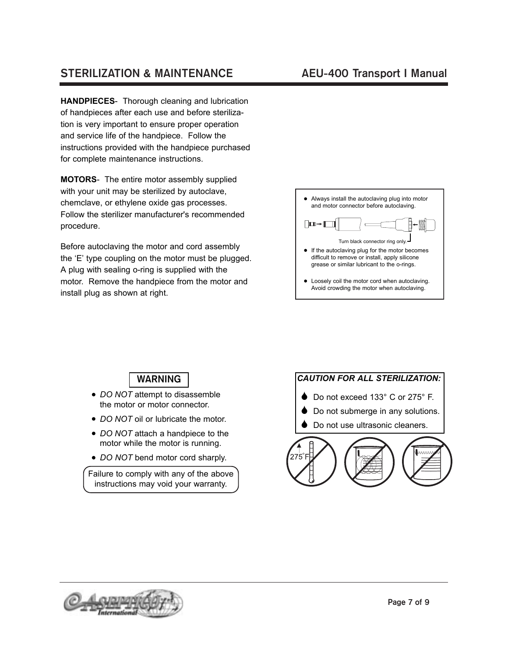# STERILIZATION & MAINTENANCE AEU-400 Transport I Manual

**HANDPIECES**- Thorough cleaning and lubrication of handpieces after each use and before sterilization is very important to ensure proper operation and service life of the handpiece. Follow the instructions provided with the handpiece purchased for complete maintenance instructions.

**MOTORS**- The entire motor assembly supplied with your unit may be sterilized by autoclave, chemclave, or ethylene oxide gas processes. Follow the sterilizer manufacturer's recommended procedure.

Before autoclaving the motor and cord assembly the 'E' type coupling on the motor must be plugged. A plug with sealing o-ring is supplied with the motor. Remove the handpiece from the motor and install plug as shown at right.



WARNING

- *DO NOT* attempt to disassemble the motor or motor connector.
- *DO NOT* oil or lubricate the motor.
- *DO NOT* attach a handpiece to the motor while the motor is running.
- *DO NOT* bend motor cord sharply.

Failure to comply with any of the above instructions may void your warranty.



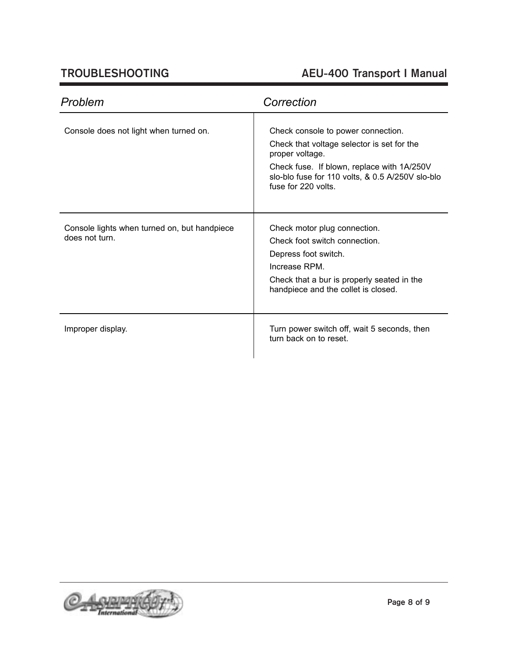# TROUBLESHOOTING AEU-400 Transport I Manual

| Problem                                                        | Correction                                                                                                                                                                                                                   |  |
|----------------------------------------------------------------|------------------------------------------------------------------------------------------------------------------------------------------------------------------------------------------------------------------------------|--|
| Console does not light when turned on.                         | Check console to power connection.<br>Check that voltage selector is set for the<br>proper voltage.<br>Check fuse. If blown, replace with 1A/250V<br>slo-blo fuse for 110 volts, & 0.5 A/250V slo-blo<br>fuse for 220 volts. |  |
| Console lights when turned on, but handpiece<br>does not turn. | Check motor plug connection.<br>Check foot switch connection.<br>Depress foot switch.<br>Increase RPM.<br>Check that a bur is properly seated in the<br>handpiece and the collet is closed.                                  |  |
| Improper display.                                              | Turn power switch off, wait 5 seconds, then<br>turn back on to reset.                                                                                                                                                        |  |